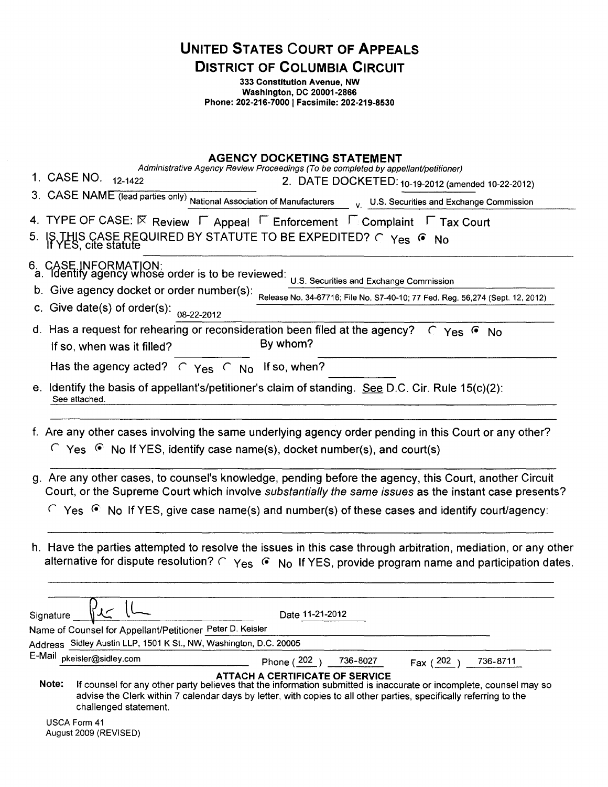**UNITED STATES COURT OF APPEALS** 

**DISTRICT OF COLUMBIA CIRCUIT** 

333 Constitution Avenue, NW Washington, DC 20001-2866 Phone: 202-216-7000 1 Facsimile: 202-219-8530

## **AGENCY DOCKETING STATEMENT**

| 1. CASE NO. 12-1422                                                                                                     | Administrative Agency Review Proceedings (To be completed by appellant/petitioner)<br>2. DATE DOCKETED: 10-19-2012 (amended 10-22-2012)                                                                                                                                                                                                                                                                                                                                                                                                     |
|-------------------------------------------------------------------------------------------------------------------------|---------------------------------------------------------------------------------------------------------------------------------------------------------------------------------------------------------------------------------------------------------------------------------------------------------------------------------------------------------------------------------------------------------------------------------------------------------------------------------------------------------------------------------------------|
|                                                                                                                         | 3. CASE NAME (lead parties only) National Association of Manufacturers v. U.S. Securities and Exchange Commission                                                                                                                                                                                                                                                                                                                                                                                                                           |
|                                                                                                                         | 4. TYPE OF CASE: $\overline{R}$ Review $\Gamma$ Appeal $\Gamma$ Enforcement $\Gamma$ Complaint $\Gamma$ Tax Court<br>5. IS THIS CASE REQUIRED BY STATUTE TO BE EXPEDITED? C Yes $\bullet$ No<br>If YES, cite statute                                                                                                                                                                                                                                                                                                                        |
| b. Give agency docket or order number(s):<br>c. Give date(s) of order(s): $_{08-22-2012}$<br>If so, when was it filled? | 6. CASE INFORMATION:<br>a. Identify agency whose order is to be reviewed: U.S. Securities and Exchange Commission<br>Release No. 34-67716; File No. S7-40-10; 77 Fed. Reg. 56,274 (Sept. 12, 2012)<br>d. Has a request for rehearing or reconsideration been filed at the agency? $C$ Yes $\bullet$ No<br>By whom?                                                                                                                                                                                                                          |
|                                                                                                                         | Has the agency acted? $\subset \gamma_{\text{es}} \subset \gamma_0$ If so, when?                                                                                                                                                                                                                                                                                                                                                                                                                                                            |
| See attached.                                                                                                           | e. Identify the basis of appellant's/petitioner's claim of standing. See D.C. Cir. Rule 15(c)(2):                                                                                                                                                                                                                                                                                                                                                                                                                                           |
|                                                                                                                         | f. Are any other cases involving the same underlying agency order pending in this Court or any other?<br><sup>C</sup> Yes <sup>©</sup> No If YES, identify case name(s), docket number(s), and court(s)<br>g. Are any other cases, to counsel's knowledge, pending before the agency, this Court, another Circuit<br>Court, or the Supreme Court which involve substantially the same issues as the instant case presents?<br>$\cap$ Yes $\circledast$ No If YES, give case name(s) and number(s) of these cases and identify court/agency: |
|                                                                                                                         | h. Have the parties attempted to resolve the issues in this case through arbitration, mediation, or any other<br>alternative for dispute resolution? $\cap$ $\gamma_{\text{es}}$ $\bullet$ No If YES, provide program name and participation dates.                                                                                                                                                                                                                                                                                         |
| ( )<br>Ħ<br>$\mathcal{L}$<br>Signature                                                                                  | Date 11-21-2012                                                                                                                                                                                                                                                                                                                                                                                                                                                                                                                             |
| Name of Counsel for Appellant/Petitioner Peter D. Keisler                                                               |                                                                                                                                                                                                                                                                                                                                                                                                                                                                                                                                             |
| E-Mail<br>pkeisler@sidley.com                                                                                           | Address Sidley Austin LLP, 1501 K St., NW, Washington, D.C. 20005                                                                                                                                                                                                                                                                                                                                                                                                                                                                           |
| <b>Note:</b><br>challenged statement.<br>$118C\Delta$ Form $41$                                                         | Phone $(202)$<br>736-8027<br>Fax (202<br>736-8711<br><b>ATTACH A CERTIFICATE OF SERVICE</b><br>If counsel for any other party believes that the information submitted is inaccurate or incomplete, counsel may so<br>advise the Clerk within 7 calendar days by letter, with copies to all other parties, specifically referring to the                                                                                                                                                                                                     |

USCA Form 41 August 2009 (REVISED)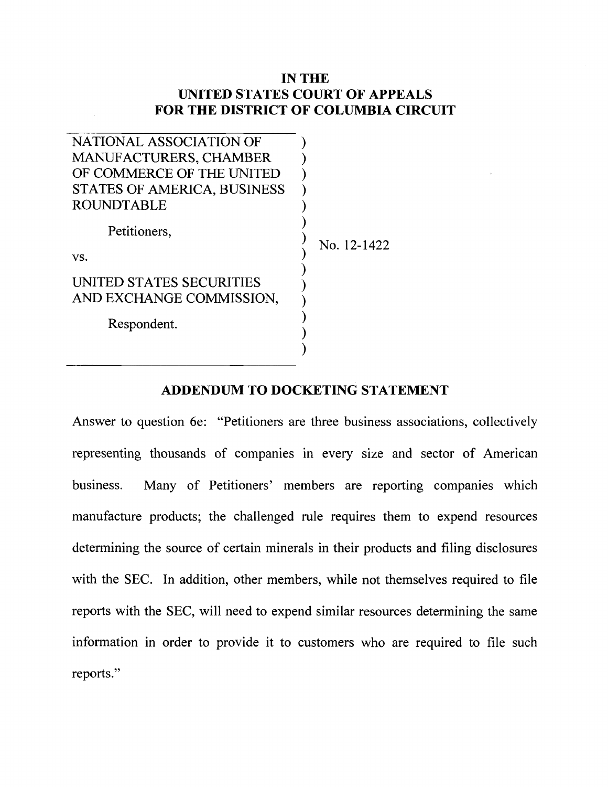## **IN THE UNITED STATES COURT OF APPEALS FOR THE DISTRICT OF COLUMBIA CIRCUIT**

| NATIONAL ASSOCIATION OF                              |             |
|------------------------------------------------------|-------------|
| <b>MANUFACTURERS, CHAMBER</b>                        |             |
| OF COMMERCE OF THE UNITED                            |             |
| STATES OF AMERICA, BUSINESS                          |             |
| <b>ROUNDTABLE</b>                                    |             |
| Petitioners,                                         | No. 12-1422 |
| VS.                                                  |             |
| UNITED STATES SECURITIES<br>AND EXCHANGE COMMISSION, |             |
| Respondent.                                          |             |
|                                                      |             |

## **ADDENDUM TO DOCKETING STATEMENT**

Answer to question 6e: "Petitioners are three business associations, collectively representing thousands of companies in every size and sector of American business. Many of Petitioners' members are reporting companies which manufacture products; the challenged rule requires them to expend resources determining the source of certain minerals in their products and filing disclosures with the SEC. In addition, other members, while not themselves required to file reports with the SEC, will need to expend similar resources determining the same information in order to provide it to customers who are required to file such reports."